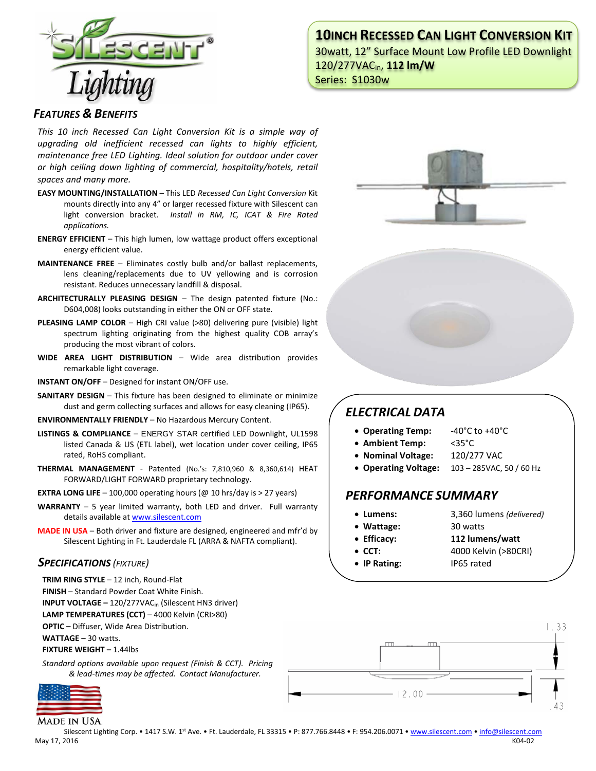# **10INCH RECESSED CAN LIGHT CONVERSION KIT**

30watt, 12" Surface Mount Low Profile LED Downlight 120/277VACin, **112 lm/W** Series: S1030w



### *FEATURES & BENEFITS*

*This 10 inch Recessed Can Light Conversion Kit is a simple way of upgrading old inefficient recessed can lights to highly efficient, maintenance free LED Lighting. Ideal solution for outdoor under cover or high ceiling down lighting of commercial, hospitality/hotels, retail spaces and many more.*

- **EASY MOUNTING/INSTALLATION**  This LED *Recessed Can Light Conversion* Kit mounts directly into any 4" or larger recessed fixture with Silescent can light conversion bracket. *Install in RM, IC, ICAT & Fire Rated applications.*
- **ENERGY EFFICIENT**  This high lumen, low wattage product offers exceptional energy efficient value.
- **MAINTENANCE FREE** Eliminates costly bulb and/or ballast replacements, lens cleaning/replacements due to UV yellowing and is corrosion resistant. Reduces unnecessary landfill & disposal.
- **ARCHITECTURALLY PLEASING DESIGN** The design patented fixture (No.: D604,008) looks outstanding in either the ON or OFF state.
- **PLEASING LAMP COLOR**  High CRI value (>80) delivering pure (visible) light spectrum lighting originating from the highest quality COB array's producing the most vibrant of colors.
- **WIDE AREA LIGHT DISTRIBUTION**  Wide area distribution provides remarkable light coverage.
- **INSTANT ON/OFF**  Designed for instant ON/OFF use.
- **SANITARY DESIGN** This fixture has been designed to eliminate or minimize dust and germ collecting surfaces and allows for easy cleaning (IP65).
- **ENVIRONMENTALLY FRIENDLY**  No Hazardous Mercury Content.
- **LISTINGS & COMPLIANCE** ENERGY STAR certified LED Downlight, UL1598 listed Canada & US (ETL label), wet location under cover ceiling, IP65 rated, RoHS compliant.
- **THERMAL MANAGEMENT**  Patented (No.'s: 7,810,960 & 8,360,614) HEAT FORWARD/LIGHT FORWARD proprietary technology.
- **EXTRA LONG LIFE**  $-$  100,000 operating hours ( $@$  10 hrs/day is  $>$  27 years)
- **WARRANTY** 5 year limited warranty, both LED and driver. Full warranty details available a[t www.silescent.com](http://www.silescent.com/)
- **MADE IN USA** Both driver and fixture are designed, engineered and mfr'd by Silescent Lighting in Ft. Lauderdale FL (ARRA & NAFTA compliant).

#### *SPECIFICATIONS (FIXTURE)*

**TRIM RING STYLE** – 12 inch, Round-Flat

- **FINISH** Standard Powder Coat White Finish.
- **INPUT VOLTAGE –** 120/277VACin (Silescent HN3 driver)

**LAMP TEMPERATURES (CCT)** – 4000 Kelvin (CRI>80)

**OPTIC –** Diffuser, Wide Area Distribution.

**WATTAGE** – 30 watts.

**FIXTURE WEIGHT –** 1.44lbs

*Standard options available upon request (Finish & CCT). Pricing & lead-times may be affected. Contact Manufacturer.*



**MADE IN USA** 



# *ELECTRICAL DATA*

- **Operating Temp:** -40°C to +40°C
- **Ambient Temp:** <35°C
- **Nominal Voltage:** 120/277 VAC
- **Operating Voltage:** 103 285VAC, 50 / 60 Hz

## *PERFORMANCE SUMMARY*

- 
- **Lumens:** 3,360 lumens *(delivered)*
- **Wattage:** 30 watts
- **Efficacy: 112 lumens/watt**
- **CCT:** 4000 Kelvin (>80CRI)
	-
- **IP Rating:** IP65 rated



Silescent Lighting Corp. • 1417 S.W. 1st Ave. • Ft. Lauderdale, FL 33315 • P: 877.766.8448 • F: 954.206.0071 • [www.silescent.com](http://www.silescent.com/) • [info@silescent.com](mailto:info@silescent.com) May 17, 2016 K04-02